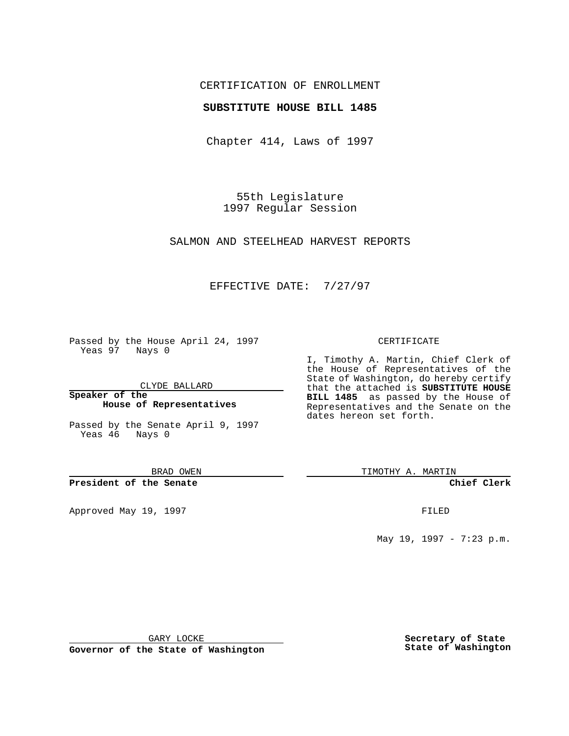## CERTIFICATION OF ENROLLMENT

### **SUBSTITUTE HOUSE BILL 1485**

Chapter 414, Laws of 1997

55th Legislature 1997 Regular Session

SALMON AND STEELHEAD HARVEST REPORTS

### EFFECTIVE DATE: 7/27/97

Passed by the House April 24, 1997 Yeas 97 Nays 0

CLYDE BALLARD

**Speaker of the House of Representatives**

Passed by the Senate April 9, 1997 Yeas 46 Nays 0

BRAD OWEN

**President of the Senate**

Approved May 19, 1997 **FILED** 

#### CERTIFICATE

I, Timothy A. Martin, Chief Clerk of the House of Representatives of the State of Washington, do hereby certify that the attached is **SUBSTITUTE HOUSE BILL 1485** as passed by the House of Representatives and the Senate on the dates hereon set forth.

TIMOTHY A. MARTIN

**Chief Clerk**

May 19, 1997 - 7:23 p.m.

GARY LOCKE

**Governor of the State of Washington**

**Secretary of State State of Washington**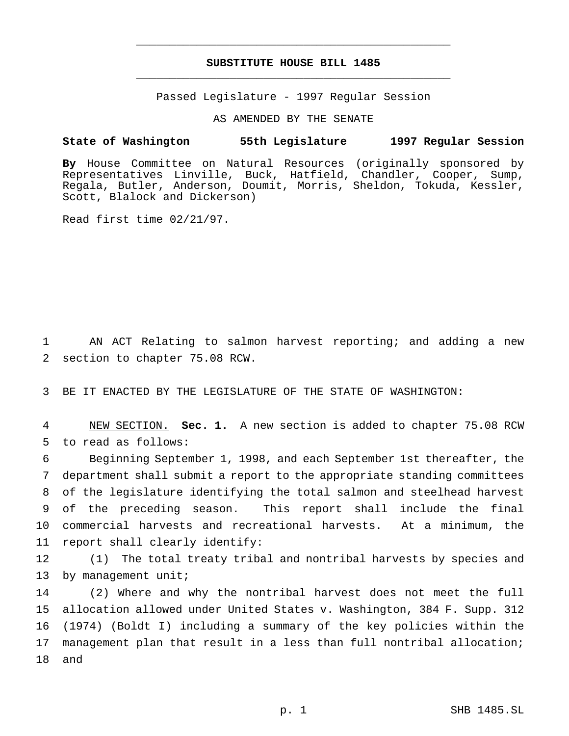# **SUBSTITUTE HOUSE BILL 1485** \_\_\_\_\_\_\_\_\_\_\_\_\_\_\_\_\_\_\_\_\_\_\_\_\_\_\_\_\_\_\_\_\_\_\_\_\_\_\_\_\_\_\_\_\_\_\_

\_\_\_\_\_\_\_\_\_\_\_\_\_\_\_\_\_\_\_\_\_\_\_\_\_\_\_\_\_\_\_\_\_\_\_\_\_\_\_\_\_\_\_\_\_\_\_

Passed Legislature - 1997 Regular Session

AS AMENDED BY THE SENATE

#### **State of Washington 55th Legislature 1997 Regular Session**

**By** House Committee on Natural Resources (originally sponsored by Representatives Linville, Buck, Hatfield, Chandler, Cooper, Sump, Regala, Butler, Anderson, Doumit, Morris, Sheldon, Tokuda, Kessler, Scott, Blalock and Dickerson)

Read first time 02/21/97.

1 AN ACT Relating to salmon harvest reporting; and adding a new 2 section to chapter 75.08 RCW.

3 BE IT ENACTED BY THE LEGISLATURE OF THE STATE OF WASHINGTON:

4 NEW SECTION. **Sec. 1.** A new section is added to chapter 75.08 RCW 5 to read as follows:

 Beginning September 1, 1998, and each September 1st thereafter, the department shall submit a report to the appropriate standing committees of the legislature identifying the total salmon and steelhead harvest of the preceding season. This report shall include the final commercial harvests and recreational harvests. At a minimum, the report shall clearly identify:

12 (1) The total treaty tribal and nontribal harvests by species and 13 by management unit;

 (2) Where and why the nontribal harvest does not meet the full allocation allowed under United States v. Washington, 384 F. Supp. 312 (1974) (Boldt I) including a summary of the key policies within the management plan that result in a less than full nontribal allocation; 18 and